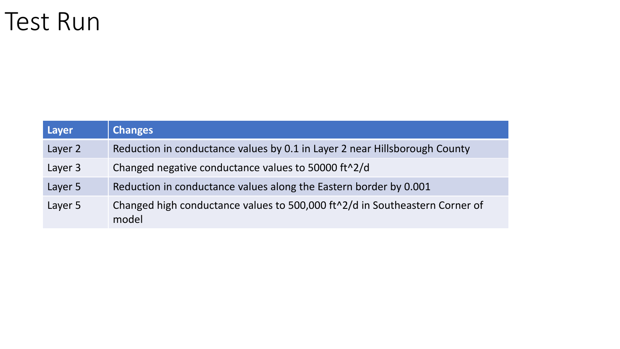#### Test Run

| Layer   | <b>Changes</b>                                                                                    |
|---------|---------------------------------------------------------------------------------------------------|
| Layer 2 | Reduction in conductance values by 0.1 in Layer 2 near Hillsborough County                        |
| Layer 3 | Changed negative conductance values to 50000 ft <sup>1</sup> 2/d                                  |
| Layer 5 | Reduction in conductance values along the Eastern border by 0.001                                 |
| Layer 5 | Changed high conductance values to 500,000 ft <sup>^2</sup> /d in Southeastern Corner of<br>model |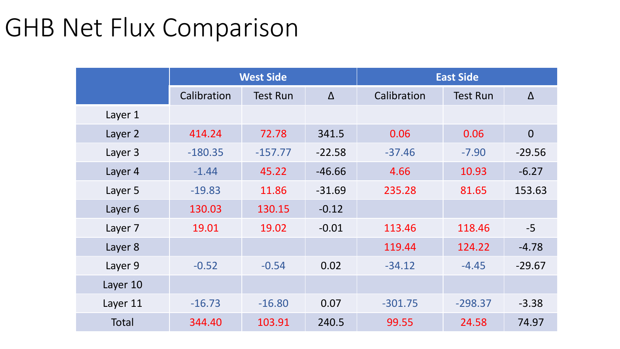# GHB Net Flux Comparison

|              | <b>West Side</b> |                 |          | <b>East Side</b> |                 |                |  |  |
|--------------|------------------|-----------------|----------|------------------|-----------------|----------------|--|--|
|              | Calibration      | <b>Test Run</b> | $\Delta$ | Calibration      | <b>Test Run</b> | $\Delta$       |  |  |
| Layer 1      |                  |                 |          |                  |                 |                |  |  |
| Layer 2      | 414.24           | 72.78           | 341.5    | 0.06             | 0.06            | $\overline{0}$ |  |  |
| Layer 3      | $-180.35$        | $-157.77$       | $-22.58$ | $-37.46$         | $-7.90$         | $-29.56$       |  |  |
| Layer 4      | $-1.44$          | 45.22           | $-46.66$ | 4.66             | 10.93           | $-6.27$        |  |  |
| Layer 5      | $-19.83$         | 11.86           | $-31.69$ | 235.28           | 81.65           | 153.63         |  |  |
| Layer 6      | 130.03           | 130.15          | $-0.12$  |                  |                 |                |  |  |
| Layer 7      | 19.01            | 19.02           | $-0.01$  | 113.46           | 118.46          | $-5$           |  |  |
| Layer 8      |                  |                 |          | 119.44           | 124.22          | $-4.78$        |  |  |
| Layer 9      | $-0.52$          | $-0.54$         | 0.02     | $-34.12$         | $-4.45$         | $-29.67$       |  |  |
| Layer 10     |                  |                 |          |                  |                 |                |  |  |
| Layer 11     | $-16.73$         | $-16.80$        | 0.07     | $-301.75$        | $-298.37$       | $-3.38$        |  |  |
| <b>Total</b> | 344.40           | 103.91          | 240.5    | 99.55            | 24.58           | 74.97          |  |  |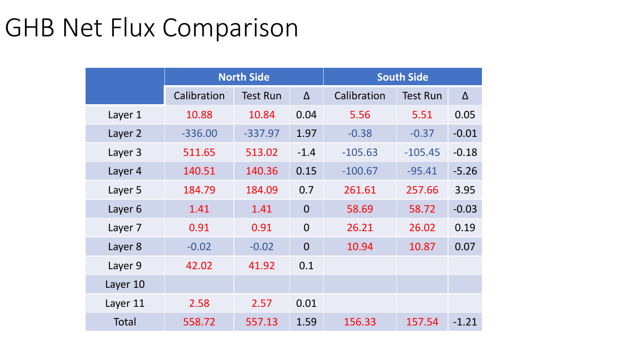# GHB Net Flux Comparison

|          |             | <b>North Side</b> |                | <b>South Side</b> |                 |          |  |  |
|----------|-------------|-------------------|----------------|-------------------|-----------------|----------|--|--|
|          | Calibration | <b>Test Run</b>   | $\Delta$       | Calibration       | <b>Test Run</b> | $\Delta$ |  |  |
| Layer 1  | 10.88       | 10.84             | 0.04           | 5.56              | 5.51            | 0.05     |  |  |
| Layer 2  | $-336.00$   | $-337.97$         | 1.97           | $-0.38$           | $-0.37$         | $-0.01$  |  |  |
| Layer 3  | 511.65      | 513.02            | $-1.4$         | $-105.63$         | $-105.45$       | $-0.18$  |  |  |
| Layer 4  | 140.51      | 140.36            | 0.15           | $-100.67$         | $-95.41$        | $-5.26$  |  |  |
| Layer 5  | 184.79      | 184.09            | 0.7            | 261.61            | 257.66          | 3.95     |  |  |
| Layer 6  | 1.41        | 1.41              | $\Omega$       | 58.69             | 58.72           | $-0.03$  |  |  |
| Layer 7  | 0.91        | 0.91              | $\overline{0}$ | 26.21             | 26.02           | 0.19     |  |  |
| Layer 8  | $-0.02$     | $-0.02$           | $\Omega$       | 10.94             | 10.87           | 0.07     |  |  |
| Layer 9  | 42.02       | 41.92             | 0.1            |                   |                 |          |  |  |
| Layer 10 |             |                   |                |                   |                 |          |  |  |
| Layer 11 | 2.58        | 2.57              | 0.01           |                   |                 |          |  |  |
| Total    | 558.72      | 557.13            | 1.59           | 156.33            | 157.54          | $-1.21$  |  |  |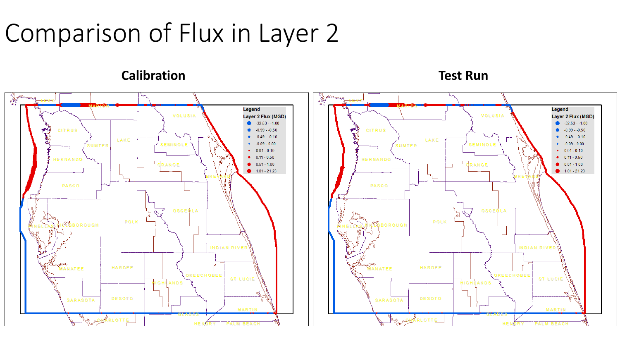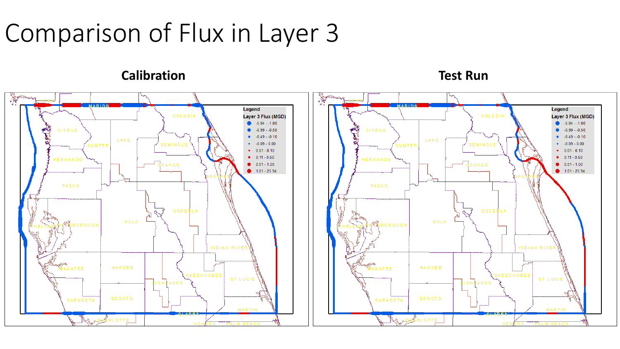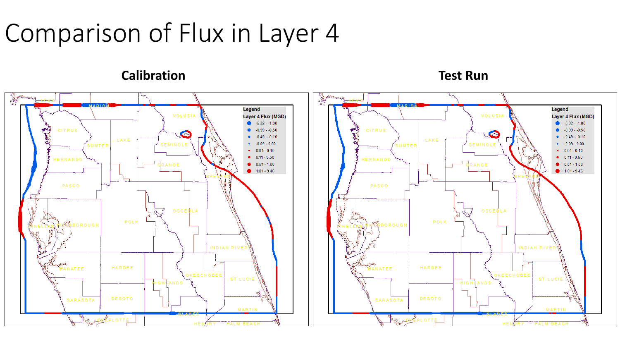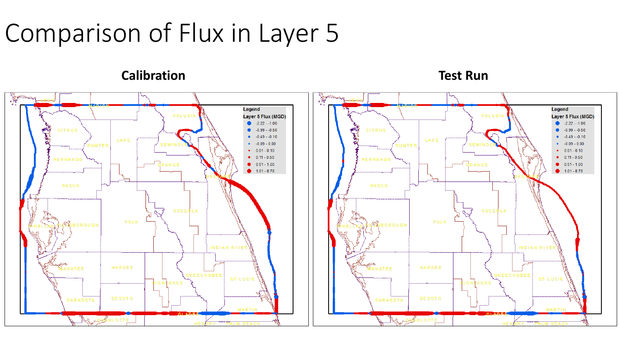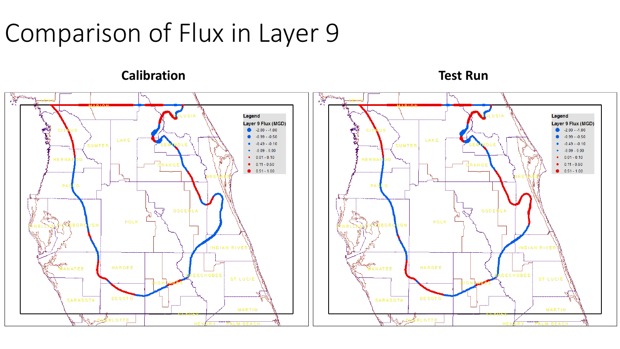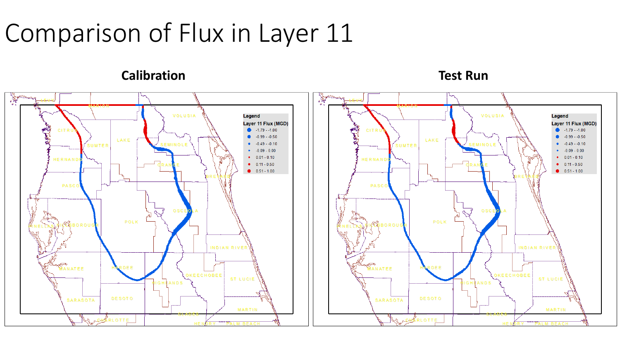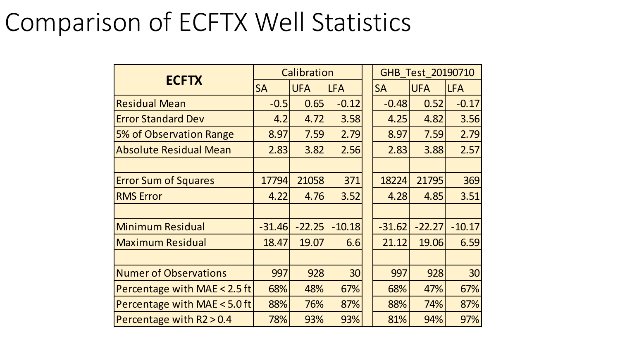## Comparison of ECFTX Well Statistics

|                               | Calibration |            |            |           | GHB Test 20190710 |            |  |
|-------------------------------|-------------|------------|------------|-----------|-------------------|------------|--|
| <b>ECFTX</b>                  | <b>SA</b>   | <b>UFA</b> | <b>LFA</b> | <b>SA</b> | <b>UFA</b>        | <b>LFA</b> |  |
| <b>Residual Mean</b>          | $-0.5$      | 0.65       | $-0.12$    | $-0.48$   | 0.52              | $-0.17$    |  |
| <b>Error Standard Dev</b>     | 4.2         | 4.72       | 3.58       | 4.25      | 4.82              | 3.56       |  |
| 5% of Observation Range       | 8.97        | 7.59       | 2.79       | 8.97      | 7.59              | 2.79       |  |
| <b>Absolute Residual Mean</b> | 2.83        | 3.82       | 2.56       | 2.83      | 3.88              | 2.57       |  |
|                               |             |            |            |           |                   |            |  |
| <b>Error Sum of Squares</b>   | 17794       | 21058      | 371        | 18224     | 21795             | 369        |  |
| <b>RMS Error</b>              | 4.22        | 4.76       | 3.52       | 4.28      | 4.85              | 3.51       |  |
|                               |             |            |            |           |                   |            |  |
| <b>Minimum Residual</b>       | $-31.46$    | $-22.25$   | $-10.18$   | $-31.62$  | $-22.27$          | $-10.17$   |  |
| <b>Maximum Residual</b>       | 18.47       | 19.07      | 6.6        | 21.12     | 19.06             | 6.59       |  |
|                               |             |            |            |           |                   |            |  |
| <b>Numer of Observations</b>  | 997         | 928        | 30         | 997       | 928               | 30         |  |
| Percentage with MAE < 2.5 ft  | 68%         | 48%        | 67%        | 68%       | 47%               | 67%        |  |
| Percentage with MAE < 5.0 ft  | 88%         | 76%        | 87%        | 88%       | 74%               | 87%        |  |
| Percentage with $R2 > 0.4$    | 78%         | 93%        | 93%        | 81%       | 94%               | 97%        |  |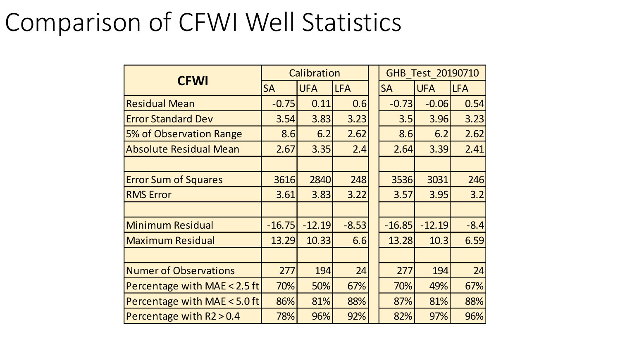#### Comparison of CFWI Well Statistics

|                               | Calibration |            |            | GHB Test 20190710 |            |            |
|-------------------------------|-------------|------------|------------|-------------------|------------|------------|
| <b>CFWI</b>                   | <b>SA</b>   | <b>UFA</b> | <b>LFA</b> | <b>SA</b>         | <b>UFA</b> | <b>LFA</b> |
| <b>Residual Mean</b>          | $-0.75$     | 0.11       | 0.6        | $-0.73$           | $-0.06$    | 0.54       |
| <b>Error Standard Dev</b>     | 3.54        | 3.83       | 3.23       | 3.5               | 3.96       | 3.23       |
| 5% of Observation Range       | 8.6         | 6.2        | 2.62       | 8.6               | 6.2        | 2.62       |
| <b>Absolute Residual Mean</b> | 2.67        | 3.35       | 2.4        | 2.64              | 3.39       | 2.41       |
|                               |             |            |            |                   |            |            |
| <b>Error Sum of Squares</b>   | 3616        | 2840       | 248        | 3536              | 3031       | 246        |
| <b>RMS Error</b>              | 3.61        | 3.83       | 3.22       | 3.57              | 3.95       | 3.2        |
|                               |             |            |            |                   |            |            |
| <b>Minimum Residual</b>       | $-16.75$    | $-12.19$   | $-8.53$    | $-16.85$          | $-12.19$   | $-8.4$     |
| <b>Maximum Residual</b>       | 13.29       | 10.33      | 6.6        | 13.28             | 10.3       | 6.59       |
|                               |             |            |            |                   |            |            |
| <b>Numer of Observations</b>  | 277         | 194        | 24         | 277               | 194        | 24         |
| Percentage with MAE < 2.5 ft  | 70%         | 50%        | 67%        | 70%               | 49%        | 67%        |
| Percentage with MAE < 5.0 ft  | 86%         | 81%        | 88%        | 87%               | 81%        | 88%        |
| Percentage with R2 > 0.4      | 78%         | 96%        | 92%        | 82%               | 97%        | 96%        |